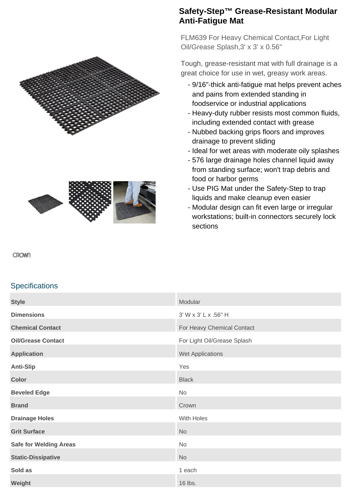



## **Safety-Step™ Grease-Resistant Modular Anti-Fatigue Mat**

FLM639 For Heavy Chemical Contact,For Light Oil/Grease Splash,3' x 3' x 0.56"

Tough, grease-resistant mat with full drainage is a great choice for use in wet, greasy work areas.

- 9/16"-thick anti-fatigue mat helps prevent aches and pains from extended standing in foodservice or industrial applications
- Heavy-duty rubber resists most common fluids, including extended contact with grease
- Nubbed backing grips floors and improves drainage to prevent sliding
- Ideal for wet areas with moderate oily splashes
- 576 large drainage holes channel liquid away from standing surface; won't trap debris and food or harbor germs
- Use PIG Mat under the Safety-Step to trap liquids and make cleanup even easier
- Modular design can fit even large or irregular workstations; built-in connectors securely lock sections

## CROWN

## **Specifications**

| <b>Style</b>                  | Modular                     |
|-------------------------------|-----------------------------|
| <b>Dimensions</b>             | 3' W x 3' L x .56" H        |
| <b>Chemical Contact</b>       | For Heavy Chemical Contact  |
| <b>Oil/Grease Contact</b>     | For Light Oil/Grease Splash |
| <b>Application</b>            | Wet Applications            |
| <b>Anti-Slip</b>              | Yes                         |
| <b>Color</b>                  | <b>Black</b>                |
| <b>Beveled Edge</b>           | No                          |
| <b>Brand</b>                  | Crown                       |
| <b>Drainage Holes</b>         | With Holes                  |
| <b>Grit Surface</b>           | <b>No</b>                   |
| <b>Safe for Welding Areas</b> | No                          |
| <b>Static-Dissipative</b>     | <b>No</b>                   |
| Sold as                       | 1 each                      |
| Weight                        | 16 lbs.                     |